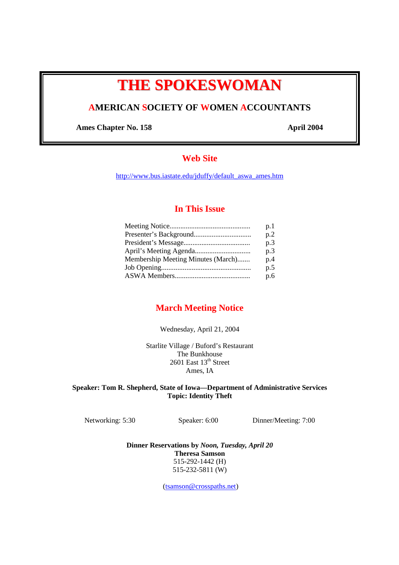# **THE SPOKESWOMAN**

# **AMERICAN SOCIETY OF WOMEN ACCOUNTANTS**

Ames Chapter No. 158 **April 2004** 

# **Web Site**

http://www.bus.iastate.edu/jduffy/default\_aswa\_ames.htm

## **In This Issue**

|                                    | p.1 |
|------------------------------------|-----|
|                                    | p.2 |
|                                    | p.3 |
|                                    | p.3 |
| Membership Meeting Minutes (March) | p.4 |
|                                    | p.5 |
|                                    | p.6 |

# **March Meeting Notice**

Wednesday, April 21, 2004

Starlite Village / Buford's Restaurant The Bunkhouse 2601 East  $13<sup>th</sup>$  Street Ames, IA

**Speaker: Tom R. Shepherd, State of Iowa—Department of Administrative Services Topic: Identity Theft** 

Networking: 5:30 Speaker: 6:00 Dinner/Meeting: 7:00

**Dinner Reservations by** *Noon, Tuesday, April 20* **Theresa Samson**  515-292-1442 (H) 515-232-5811 (W)

(tsamson@crosspaths.net)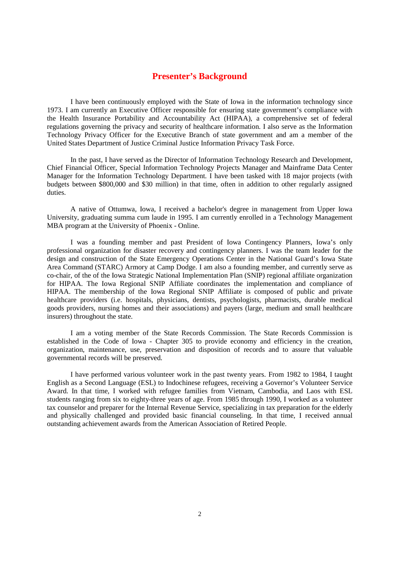## **Presenter's Background**

I have been continuously employed with the State of Iowa in the information technology since 1973. I am currently an Executive Officer responsible for ensuring state government's compliance with the Health Insurance Portability and Accountability Act (HIPAA), a comprehensive set of federal regulations governing the privacy and security of healthcare information. I also serve as the Information Technology Privacy Officer for the Executive Branch of state government and am a member of the United States Department of Justice Criminal Justice Information Privacy Task Force.

In the past, I have served as the Director of Information Technology Research and Development, Chief Financial Officer, Special Information Technology Projects Manager and Mainframe Data Center Manager for the Information Technology Department. I have been tasked with 18 major projects (with budgets between \$800,000 and \$30 million) in that time, often in addition to other regularly assigned duties.

A native of Ottumwa, Iowa, I received a bachelor's degree in management from Upper Iowa University, graduating summa cum laude in 1995. I am currently enrolled in a Technology Management MBA program at the University of Phoenix - Online.

I was a founding member and past President of Iowa Contingency Planners, Iowa's only professional organization for disaster recovery and contingency planners. I was the team leader for the design and construction of the State Emergency Operations Center in the National Guard's Iowa State Area Command (STARC) Armory at Camp Dodge. I am also a founding member, and currently serve as co-chair, of the of the Iowa Strategic National Implementation Plan (SNIP) regional affiliate organization for HIPAA. The Iowa Regional SNIP Affiliate coordinates the implementation and compliance of HIPAA. The membership of the Iowa Regional SNIP Affiliate is composed of public and private healthcare providers (i.e. hospitals, physicians, dentists, psychologists, pharmacists, durable medical goods providers, nursing homes and their associations) and payers (large, medium and small healthcare insurers) throughout the state.

I am a voting member of the State Records Commission. The State Records Commission is established in the Code of Iowa - Chapter 305 to provide economy and efficiency in the creation, organization, maintenance, use, preservation and disposition of records and to assure that valuable governmental records will be preserved.

I have performed various volunteer work in the past twenty years. From 1982 to 1984, I taught English as a Second Language (ESL) to Indochinese refugees, receiving a Governor's Volunteer Service Award. In that time, I worked with refugee families from Vietnam, Cambodia, and Laos with ESL students ranging from six to eighty-three years of age. From 1985 through 1990, I worked as a volunteer tax counselor and preparer for the Internal Revenue Service, specializing in tax preparation for the elderly and physically challenged and provided basic financial counseling. In that time, I received annual outstanding achievement awards from the American Association of Retired People.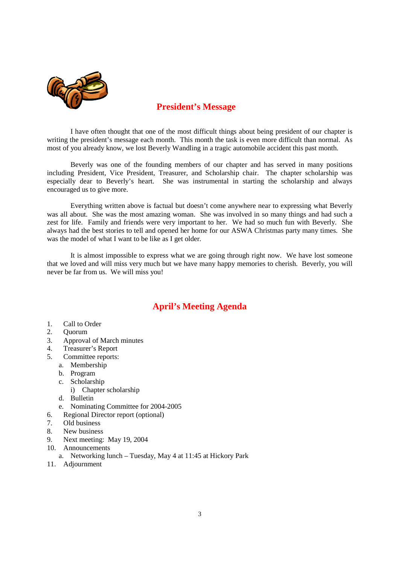

# **President's Message**

I have often thought that one of the most difficult things about being president of our chapter is writing the president's message each month. This month the task is even more difficult than normal. As most of you already know, we lost Beverly Wandling in a tragic automobile accident this past month.

Beverly was one of the founding members of our chapter and has served in many positions including President, Vice President, Treasurer, and Scholarship chair. The chapter scholarship was especially dear to Beverly's heart. She was instrumental in starting the scholarship and always encouraged us to give more.

Everything written above is factual but doesn't come anywhere near to expressing what Beverly was all about. She was the most amazing woman. She was involved in so many things and had such a zest for life. Family and friends were very important to her. We had so much fun with Beverly. She always had the best stories to tell and opened her home for our ASWA Christmas party many times. She was the model of what I want to be like as I get older.

It is almost impossible to express what we are going through right now. We have lost someone that we loved and will miss very much but we have many happy memories to cherish. Beverly, you will never be far from us. We will miss you!

# **April's Meeting Agenda**

- 1. Call to Order
- 2. Quorum
- 3. Approval of March minutes
- 4. Treasurer's Report
- 5. Committee reports:
	- a. Membership
		- b. Program
		- c. Scholarship
			- i) Chapter scholarship
	- d. Bulletin
	- e. Nominating Committee for 2004-2005
- 6. Regional Director report (optional)
- 7. Old business
- 8. New business
- 9. Next meeting: May 19, 2004
- 10. Announcements
	- a. Networking lunch Tuesday, May 4 at 11:45 at Hickory Park
- 11. Adjournment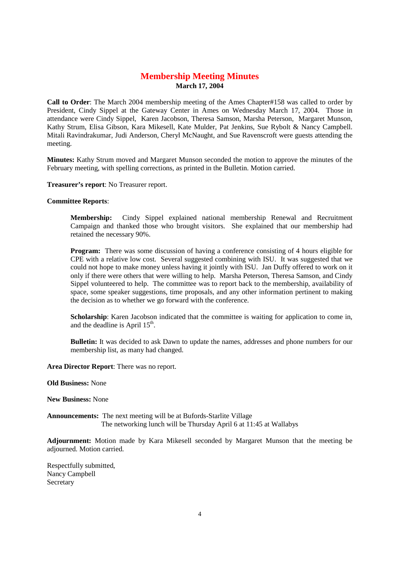## **Membership Meeting Minutes March 17, 2004**

**Call to Order**: The March 2004 membership meeting of the Ames Chapter#158 was called to order by President, Cindy Sippel at the Gateway Center in Ames on Wednesday March 17, 2004. Those in attendance were Cindy Sippel, Karen Jacobson, Theresa Samson, Marsha Peterson, Margaret Munson, Kathy Strum, Elisa Gibson, Kara Mikesell, Kate Mulder, Pat Jenkins, Sue Rybolt & Nancy Campbell. Mitali Ravindrakumar, Judi Anderson, Cheryl McNaught, and Sue Ravenscroft were guests attending the meeting.

**Minutes:** Kathy Strum moved and Margaret Munson seconded the motion to approve the minutes of the February meeting, with spelling corrections, as printed in the Bulletin. Motion carried.

**Treasurer's report**: No Treasurer report.

#### **Committee Reports**:

**Membership:** Cindy Sippel explained national membership Renewal and Recruitment Campaign and thanked those who brought visitors. She explained that our membership had retained the necessary 90%.

**Program:** There was some discussion of having a conference consisting of 4 hours eligible for CPE with a relative low cost. Several suggested combining with ISU. It was suggested that we could not hope to make money unless having it jointly with ISU. Jan Duffy offered to work on it only if there were others that were willing to help. Marsha Peterson, Theresa Samson, and Cindy Sippel volunteered to help. The committee was to report back to the membership, availability of space, some speaker suggestions, time proposals, and any other information pertinent to making the decision as to whether we go forward with the conference.

**Scholarship**: Karen Jacobson indicated that the committee is waiting for application to come in, and the deadline is April  $15<sup>th</sup>$ .

**Bulletin:** It was decided to ask Dawn to update the names, addresses and phone numbers for our membership list, as many had changed.

**Area Director Report**: There was no report.

#### **Old Business:** None

**New Business:** None

**Announcements:** The next meeting will be at Bufords-Starlite Village The networking lunch will be Thursday April 6 at 11:45 at Wallabys

**Adjournment:** Motion made by Kara Mikesell seconded by Margaret Munson that the meeting be adjourned. Motion carried.

Respectfully submitted, Nancy Campbell **Secretary**